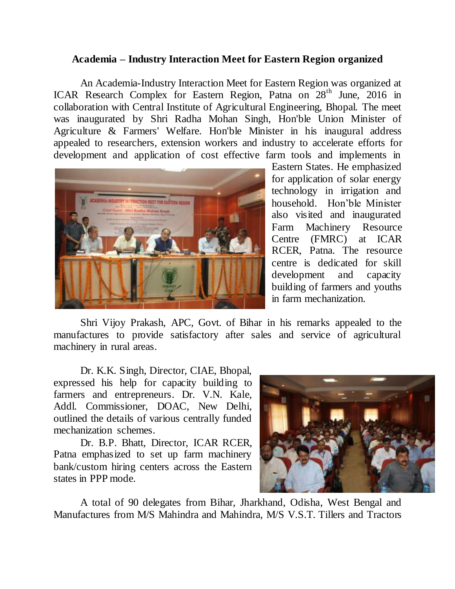## **Academia – Industry Interaction Meet for Eastern Region organized**

An Academia-Industry Interaction Meet for Eastern Region was organized at ICAR Research Complex for Eastern Region, Patna on 28<sup>th</sup> June, 2016 in collaboration with Central Institute of Agricultural Engineering, Bhopal. The meet was inaugurated by Shri Radha Mohan Singh, Hon'ble Union Minister of Agriculture & Farmers' Welfare. Hon'ble Minister in his inaugural address appealed to researchers, extension workers and industry to accelerate efforts for development and application of cost effective farm tools and implements in



Eastern States. He emphasized for application of solar energy technology in irrigation and household. Hon'ble Minister also visited and inaugurated Farm Machinery Resource Centre (FMRC) at ICAR RCER, Patna. The resource centre is dedicated for skill development and capacity building of farmers and youths in farm mechanization.

Shri Vijoy Prakash, APC, Govt. of Bihar in his remarks appealed to the manufactures to provide satisfactory after sales and service of agricultural machinery in rural areas.

Dr. K.K. Singh, Director, CIAE, Bhopal, expressed his help for capacity building to farmers and entrepreneurs. Dr. V.N. Kale, Addl. Commissioner, DOAC, New Delhi, outlined the details of various centrally funded mechanization schemes.

Dr. B.P. Bhatt, Director, ICAR RCER, Patna emphasized to set up farm machinery bank/custom hiring centers across the Eastern states in PPP mode.



A total of 90 delegates from Bihar, Jharkhand, Odisha, West Bengal and Manufactures from M/S Mahindra and Mahindra, M/S V.S.T. Tillers and Tractors